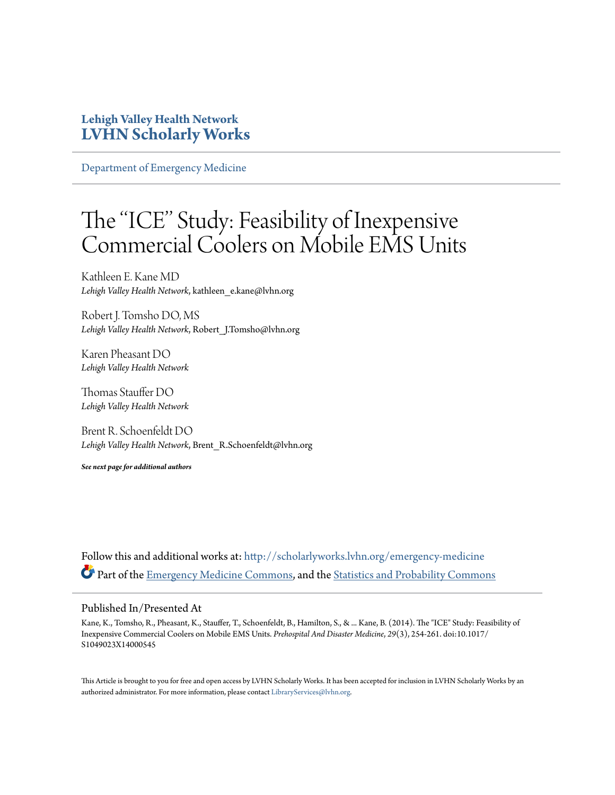### **Lehigh Valley Health Network [LVHN Scholarly Works](http://scholarlyworks.lvhn.org?utm_source=scholarlyworks.lvhn.org%2Femergency-medicine%2F264&utm_medium=PDF&utm_campaign=PDFCoverPages)**

[Department of Emergency Medicine](http://scholarlyworks.lvhn.org/emergency-medicine?utm_source=scholarlyworks.lvhn.org%2Femergency-medicine%2F264&utm_medium=PDF&utm_campaign=PDFCoverPages)

# The ''ICE'' Study: Feasibility of Inexpensive Commercial Coolers on Mobile EMS Units

Kathleen E. Kane MD *Lehigh Valley Health Network*, kathleen\_e.kane@lvhn.org

Robert J. Tomsho DO, MS *Lehigh Valley Health Network*, Robert\_J.Tomsho@lvhn.org

Karen Pheasant DO *Lehigh Valley Health Network*

Thomas Stauffer DO *Lehigh Valley Health Network*

Brent R. Schoenfeldt DO *Lehigh Valley Health Network*, Brent\_R.Schoenfeldt@lvhn.org

*See next page for additional authors*

Follow this and additional works at: [http://scholarlyworks.lvhn.org/emergency-medicine](http://scholarlyworks.lvhn.org/emergency-medicine?utm_source=scholarlyworks.lvhn.org%2Femergency-medicine%2F264&utm_medium=PDF&utm_campaign=PDFCoverPages) Part of the [Emergency Medicine Commons,](http://network.bepress.com/hgg/discipline/685?utm_source=scholarlyworks.lvhn.org%2Femergency-medicine%2F264&utm_medium=PDF&utm_campaign=PDFCoverPages) and the [Statistics and Probability Commons](http://network.bepress.com/hgg/discipline/208?utm_source=scholarlyworks.lvhn.org%2Femergency-medicine%2F264&utm_medium=PDF&utm_campaign=PDFCoverPages)

#### Published In/Presented At

Kane, K., Tomsho, R., Pheasant, K., Stauffer, T., Schoenfeldt, B., Hamilton, S., & ... Kane, B. (2014). The "ICE" Study: Feasibility of Inexpensive Commercial Coolers on Mobile EMS Units. *Prehospital And Disaster Medicine*, *29*(3), 254-261. doi:10.1017/ S1049023X14000545

This Article is brought to you for free and open access by LVHN Scholarly Works. It has been accepted for inclusion in LVHN Scholarly Works by an authorized administrator. For more information, please contact [LibraryServices@lvhn.org.](mailto:LibraryServices@lvhn.org)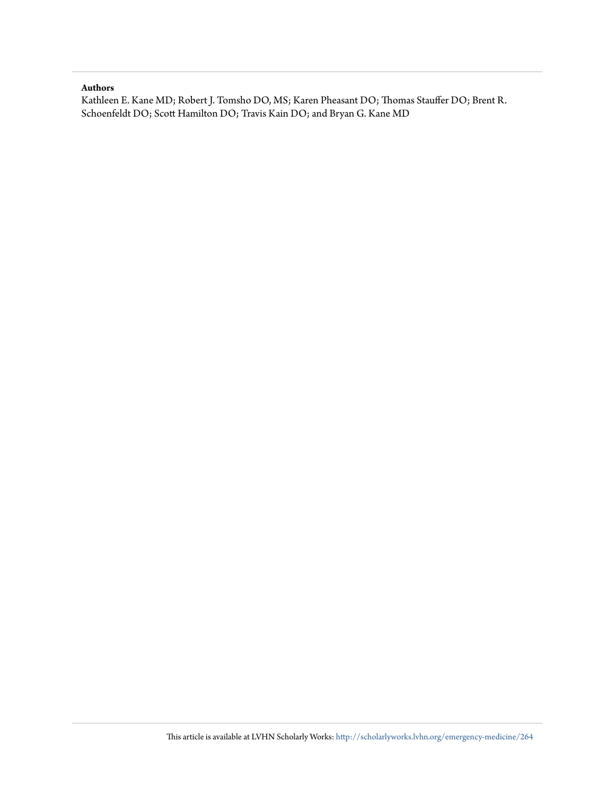#### **Authors**

Kathleen E. Kane MD; Robert J. Tomsho DO, MS; Karen Pheasant DO; Thomas Stauffer DO; Brent R. Schoenfeldt DO; Scott Hamilton DO; Travis Kain DO; and Bryan G. Kane MD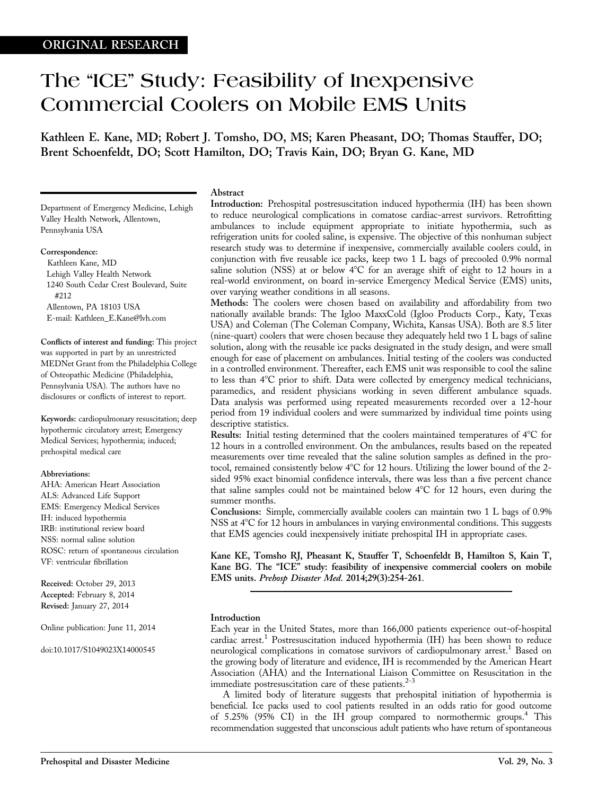## The "ICE" Study: Feasibility of Inexpensive Commercial Coolers on Mobile EMS Units

Kathleen E. Kane, MD; Robert J. Tomsho, DO, MS; Karen Pheasant, DO; Thomas Stauffer, DO; Brent Schoenfeldt, DO; Scott Hamilton, DO; Travis Kain, DO; Bryan G. Kane, MD

Department of Emergency Medicine, Lehigh Valley Health Network, Allentown, Pennsylvania USA

#### Correspondence:

Kathleen Kane, MD Lehigh Valley Health Network 1240 South Cedar Crest Boulevard, Suite #212 Allentown, PA 18103 USA E-mail: Kathleen\_E.Kane@lvh.com

Conflicts of interest and funding: This project was supported in part by an unrestricted MEDNet Grant from the Philadelphia College of Osteopathic Medicine (Philadelphia, Pennsylvania USA). The authors have no disclosures or conflicts of interest to report.

Keywords: cardiopulmonary resuscitation; deep hypothermic circulatory arrest; Emergency Medical Services; hypothermia; induced; prehospital medical care

#### Abbreviations:

AHA: American Heart Association ALS: Advanced Life Support EMS: Emergency Medical Services IH: induced hypothermia IRB: institutional review board NSS: normal saline solution ROSC: return of spontaneous circulation VF: ventricular fibrillation

Received: October 29, 2013 Accepted: February 8, 2014 Revised: January 27, 2014

Online publication: June 11, 2014

doi:10.1017/S1049023X14000545

#### Abstract

Introduction: Prehospital postresuscitation induced hypothermia (IH) has been shown to reduce neurological complications in comatose cardiac-arrest survivors. Retrofitting ambulances to include equipment appropriate to initiate hypothermia, such as refrigeration units for cooled saline, is expensive. The objective of this nonhuman subject research study was to determine if inexpensive, commercially available coolers could, in conjunction with five reusable ice packs, keep two 1 L bags of precooled 0.9% normal saline solution (NSS) at or below  $4^{\circ}C$  for an average shift of eight to 12 hours in a real-world environment, on board in-service Emergency Medical Service (EMS) units, over varying weather conditions in all seasons.

Methods: The coolers were chosen based on availability and affordability from two nationally available brands: The Igloo MaxxCold (Igloo Products Corp., Katy, Texas USA) and Coleman (The Coleman Company, Wichita, Kansas USA). Both are 8.5 liter (nine-quart) coolers that were chosen because they adequately held two 1 L bags of saline solution, along with the reusable ice packs designated in the study design, and were small enough for ease of placement on ambulances. Initial testing of the coolers was conducted in a controlled environment. Thereafter, each EMS unit was responsible to cool the saline to less than 4°C prior to shift. Data were collected by emergency medical technicians, paramedics, and resident physicians working in seven different ambulance squads. Data analysis was performed using repeated measurements recorded over a 12-hour period from 19 individual coolers and were summarized by individual time points using descriptive statistics.

Results: Initial testing determined that the coolers maintained temperatures of  $4^{\circ}C$  for 12 hours in a controlled environment. On the ambulances, results based on the repeated measurements over time revealed that the saline solution samples as defined in the protocol, remained consistently below  $4^{\circ}$ C for 12 hours. Utilizing the lower bound of the 2sided 95% exact binomial confidence intervals, there was less than a five percent chance that saline samples could not be maintained below  $4^{\circ}C$  for 12 hours, even during the summer months.

Conclusions: Simple, commercially available coolers can maintain two 1 L bags of 0.9% NSS at 4°C for 12 hours in ambulances in varying environmental conditions. This suggests that EMS agencies could inexpensively initiate prehospital IH in appropriate cases.

Kane KE, Tomsho RJ, Pheasant K, Stauffer T, Schoenfeldt B, Hamilton S, Kain T, Kane BG. The "ICE" study: feasibility of inexpensive commercial coolers on mobile EMS units. Prehosp Disaster Med. 2014;29(3):254-261.

#### Introduction

Each year in the United States, more than 166,000 patients experience out-of-hospital cardiac arrest.<sup>[1](#page-9-0)</sup> Postresuscitation induced hypothermia (IH) has been shown to reduce neurological complications in comatose survivors of cardiopulmonary arrest.<sup>[1](#page-9-0)</sup> Based on the growing body of literature and evidence, IH is recommended by the American Heart Association (AHA) and the International Liaison Committee on Resuscitation in the immediate postresuscitation care of these patients. $2-3$  $2-3$  $2-3$ 

A limited body of literature suggests that prehospital initiation of hypothermia is beneficial. Ice packs used to cool patients resulted in an odds ratio for good outcome of  $5.25\%$  ( $95\%$  CI) in the IH group compared to normothermic groups.<sup>4</sup> This recommendation suggested that unconscious adult patients who have return of spontaneous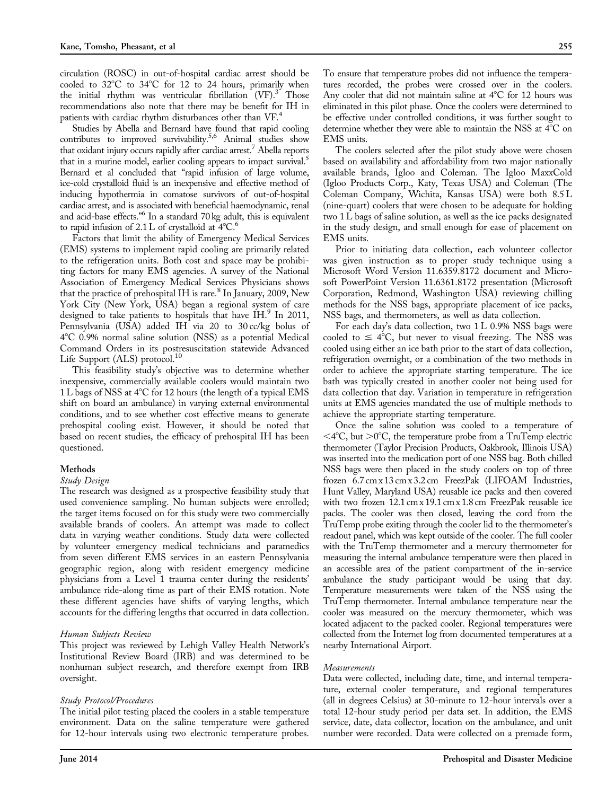circulation (ROSC) in out-of-hospital cardiac arrest should be cooled to  $32^{\circ}$ C to  $34^{\circ}$ C for 12 to 24 hours, primarily when the initial rhythm was ventricular fibrillation  $(VF)^3$ . Those recommendations also note that there may be benefit for IH in patients with cardiac rhythm disturbances other than VF.[4](#page-9-0)

Studies by Abella and Bernard have found that rapid cooling contributes to improved survivability.<sup>5,6</sup> Animal studies show that oxidant injury occurs rapidly after cardiac arrest.[7](#page-9-0) Abella reports that in a murine model, earlier cooling appears to impact survival.<sup>5</sup> Bernard et al concluded that "rapid infusion of large volume, ice-cold crystalloid fluid is an inexpensive and effective method of inducing hypothermia in comatose survivors of out-of-hospital cardiac arrest, and is associated with beneficial haemodynamic, renal and acid-base effects.'['6](#page-9-0) In a standard 70 kg adult, this is equivalent to rapid infusion of  $2.1 L$  of crystalloid at  $4^{\circ}C$ .<sup>6</sup>

Factors that limit the ability of Emergency Medical Services (EMS) systems to implement rapid cooling are primarily related to the refrigeration units. Both cost and space may be prohibiting factors for many EMS agencies. A survey of the National Association of Emergency Medical Services Physicians shows that the practice of prehospital IH is rare. $\degree$  In January, 2009, New York City (New York, USA) began a regional system of care designed to take patients to hospitals that have IH.<sup>[9](#page-9-0)</sup> In 2011, Pennsylvania (USA) added IH via 20 to 30 cc/kg bolus of 48C 0.9% normal saline solution (NSS) as a potential Medical Command Orders in its postresuscitation statewide Advanced Life Support (ALS) protocol.<sup>[10](#page-9-0)</sup>

This feasibility study's objective was to determine whether inexpensive, commercially available coolers would maintain two 1 L bags of NSS at 4°C for 12 hours (the length of a typical EMS shift on board an ambulance) in varying external environmental conditions, and to see whether cost effective means to generate prehospital cooling exist. However, it should be noted that based on recent studies, the efficacy of prehospital IH has been questioned.

#### Methods

#### Study Design

The research was designed as a prospective feasibility study that used convenience sampling. No human subjects were enrolled; the target items focused on for this study were two commercially available brands of coolers. An attempt was made to collect data in varying weather conditions. Study data were collected by volunteer emergency medical technicians and paramedics from seven different EMS services in an eastern Pennsylvania geographic region, along with resident emergency medicine physicians from a Level 1 trauma center during the residents' ambulance ride-along time as part of their EMS rotation. Note these different agencies have shifts of varying lengths, which accounts for the differing lengths that occurred in data collection.

#### Human Subjects Review

This project was reviewed by Lehigh Valley Health Network's Institutional Review Board (IRB) and was determined to be nonhuman subject research, and therefore exempt from IRB oversight.

#### Study Protocol/Procedures

The initial pilot testing placed the coolers in a stable temperature environment. Data on the saline temperature were gathered for 12-hour intervals using two electronic temperature probes.

To ensure that temperature probes did not influence the temperatures recorded, the probes were crossed over in the coolers. Any cooler that did not maintain saline at  $4^{\circ}$ C for 12 hours was eliminated in this pilot phase. Once the coolers were determined to be effective under controlled conditions, it was further sought to determine whether they were able to maintain the NSS at  $4^{\circ}$ C on EMS units.

The coolers selected after the pilot study above were chosen based on availability and affordability from two major nationally available brands, Igloo and Coleman. The Igloo MaxxCold (Igloo Products Corp., Katy, Texas USA) and Coleman (The Coleman Company, Wichita, Kansas USA) were both 8.5 L (nine-quart) coolers that were chosen to be adequate for holding two 1 L bags of saline solution, as well as the ice packs designated in the study design, and small enough for ease of placement on EMS units.

Prior to initiating data collection, each volunteer collector was given instruction as to proper study technique using a Microsoft Word Version 11.6359.8172 document and Microsoft PowerPoint Version 11.6361.8172 presentation (Microsoft Corporation, Redmond, Washington USA) reviewing chilling methods for the NSS bags, appropriate placement of ice packs, NSS bags, and thermometers, as well as data collection.

For each day's data collection, two 1 L 0.9% NSS bags were cooled to  $\leq 4^{\circ}\text{C}$ , but never to visual freezing. The NSS was cooled using either an ice bath prior to the start of data collection, refrigeration overnight, or a combination of the two methods in order to achieve the appropriate starting temperature. The ice bath was typically created in another cooler not being used for data collection that day. Variation in temperature in refrigeration units at EMS agencies mandated the use of multiple methods to achieve the appropriate starting temperature.

Once the saline solution was cooled to a temperature of  $<$ 4°C, but  $>$ 0°C, the temperature probe from a TruTemp electric thermometer (Taylor Precision Products, Oakbrook, Illinois USA) was inserted into the medication port of one NSS bag. Both chilled NSS bags were then placed in the study coolers on top of three frozen 6.7 cm x 13 cm x 3.2 cm FreezPak (LIFOAM Industries, Hunt Valley, Maryland USA) reusable ice packs and then covered with two frozen 12.1 cm x 19.1 cm x 1.8 cm FreezPak reusable ice packs. The cooler was then closed, leaving the cord from the TruTemp probe exiting through the cooler lid to the thermometer's readout panel, which was kept outside of the cooler. The full cooler with the TruTemp thermometer and a mercury thermometer for measuring the internal ambulance temperature were then placed in an accessible area of the patient compartment of the in-service ambulance the study participant would be using that day. Temperature measurements were taken of the NSS using the TruTemp thermometer. Internal ambulance temperature near the cooler was measured on the mercury thermometer, which was located adjacent to the packed cooler. Regional temperatures were collected from the Internet log from documented temperatures at a nearby International Airport.

#### Measurements

Data were collected, including date, time, and internal temperature, external cooler temperature, and regional temperatures (all in degrees Celsius) at 30-minute to 12-hour intervals over a total 12-hour study period per data set. In addition, the EMS service, date, data collector, location on the ambulance, and unit number were recorded. Data were collected on a premade form,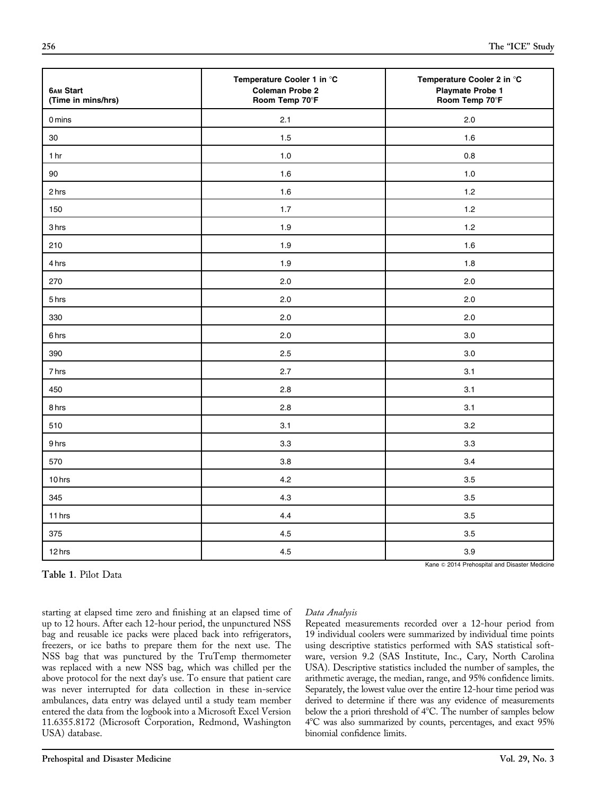Temperature Cooler 1 in °C Temperature Cooler 2 in °C

| 3 hrs                                                                                                                                                                                                                                                                                                                                                                                                                                                                                                                                                                                                                                                                    | 1.9 |               | 1.2                                                                                                                                                                                                                                                                                                                                                                                                                                                                                                                                                                                                                      |
|--------------------------------------------------------------------------------------------------------------------------------------------------------------------------------------------------------------------------------------------------------------------------------------------------------------------------------------------------------------------------------------------------------------------------------------------------------------------------------------------------------------------------------------------------------------------------------------------------------------------------------------------------------------------------|-----|---------------|--------------------------------------------------------------------------------------------------------------------------------------------------------------------------------------------------------------------------------------------------------------------------------------------------------------------------------------------------------------------------------------------------------------------------------------------------------------------------------------------------------------------------------------------------------------------------------------------------------------------------|
| 210                                                                                                                                                                                                                                                                                                                                                                                                                                                                                                                                                                                                                                                                      | 1.9 |               | 1.6                                                                                                                                                                                                                                                                                                                                                                                                                                                                                                                                                                                                                      |
| 4 hrs                                                                                                                                                                                                                                                                                                                                                                                                                                                                                                                                                                                                                                                                    | 1.9 |               | 1.8                                                                                                                                                                                                                                                                                                                                                                                                                                                                                                                                                                                                                      |
| 270                                                                                                                                                                                                                                                                                                                                                                                                                                                                                                                                                                                                                                                                      | 2.0 |               | 2.0                                                                                                                                                                                                                                                                                                                                                                                                                                                                                                                                                                                                                      |
| 5 hrs                                                                                                                                                                                                                                                                                                                                                                                                                                                                                                                                                                                                                                                                    | 2.0 |               | 2.0                                                                                                                                                                                                                                                                                                                                                                                                                                                                                                                                                                                                                      |
| 330                                                                                                                                                                                                                                                                                                                                                                                                                                                                                                                                                                                                                                                                      | 2.0 |               | 2.0                                                                                                                                                                                                                                                                                                                                                                                                                                                                                                                                                                                                                      |
| 6 hrs                                                                                                                                                                                                                                                                                                                                                                                                                                                                                                                                                                                                                                                                    | 2.0 |               | 3.0                                                                                                                                                                                                                                                                                                                                                                                                                                                                                                                                                                                                                      |
| 390                                                                                                                                                                                                                                                                                                                                                                                                                                                                                                                                                                                                                                                                      | 2.5 |               | 3.0                                                                                                                                                                                                                                                                                                                                                                                                                                                                                                                                                                                                                      |
| 7 hrs                                                                                                                                                                                                                                                                                                                                                                                                                                                                                                                                                                                                                                                                    | 2.7 |               | 3.1                                                                                                                                                                                                                                                                                                                                                                                                                                                                                                                                                                                                                      |
| 450                                                                                                                                                                                                                                                                                                                                                                                                                                                                                                                                                                                                                                                                      | 2.8 |               | 3.1                                                                                                                                                                                                                                                                                                                                                                                                                                                                                                                                                                                                                      |
| 8 hrs                                                                                                                                                                                                                                                                                                                                                                                                                                                                                                                                                                                                                                                                    | 2.8 |               | 3.1                                                                                                                                                                                                                                                                                                                                                                                                                                                                                                                                                                                                                      |
| 510                                                                                                                                                                                                                                                                                                                                                                                                                                                                                                                                                                                                                                                                      | 3.1 |               | 3.2                                                                                                                                                                                                                                                                                                                                                                                                                                                                                                                                                                                                                      |
| 9 hrs                                                                                                                                                                                                                                                                                                                                                                                                                                                                                                                                                                                                                                                                    | 3.3 |               | 3.3                                                                                                                                                                                                                                                                                                                                                                                                                                                                                                                                                                                                                      |
| 570                                                                                                                                                                                                                                                                                                                                                                                                                                                                                                                                                                                                                                                                      | 3.8 |               | 3.4                                                                                                                                                                                                                                                                                                                                                                                                                                                                                                                                                                                                                      |
| 10 hrs                                                                                                                                                                                                                                                                                                                                                                                                                                                                                                                                                                                                                                                                   | 4.2 |               | 3.5                                                                                                                                                                                                                                                                                                                                                                                                                                                                                                                                                                                                                      |
| 345                                                                                                                                                                                                                                                                                                                                                                                                                                                                                                                                                                                                                                                                      | 4.3 |               | 3.5                                                                                                                                                                                                                                                                                                                                                                                                                                                                                                                                                                                                                      |
| 11 hrs                                                                                                                                                                                                                                                                                                                                                                                                                                                                                                                                                                                                                                                                   | 4.4 |               | 3.5                                                                                                                                                                                                                                                                                                                                                                                                                                                                                                                                                                                                                      |
| 375                                                                                                                                                                                                                                                                                                                                                                                                                                                                                                                                                                                                                                                                      | 4.5 |               | 3.5                                                                                                                                                                                                                                                                                                                                                                                                                                                                                                                                                                                                                      |
| 12 hrs                                                                                                                                                                                                                                                                                                                                                                                                                                                                                                                                                                                                                                                                   | 4.5 |               | 3.9                                                                                                                                                                                                                                                                                                                                                                                                                                                                                                                                                                                                                      |
| Table 1. Pilot Data                                                                                                                                                                                                                                                                                                                                                                                                                                                                                                                                                                                                                                                      |     |               | Kane © 2014 Prehospital and Disaster Medicine                                                                                                                                                                                                                                                                                                                                                                                                                                                                                                                                                                            |
| starting at elapsed time zero and finishing at an elapsed time of<br>up to 12 hours. After each 12-hour period, the unpunctured NSS<br>bag and reusable ice packs were placed back into refrigerators,<br>freezers, or ice baths to prepare them for the next use. The<br>NSS bag that was punctured by the TruTemp thermometer<br>was replaced with a new NSS bag, which was chilled per the<br>above protocol for the next day's use. To ensure that patient care<br>was never interrupted for data collection in these in-service<br>ambulances, data entry was delayed until a study team member<br>entered the data from the logbook into a Microsoft Excel Version |     | Data Analysis | Repeated measurements recorded over a 12-hour period from<br>19 individual coolers were summarized by individual time points<br>using descriptive statistics performed with SAS statistical soft-<br>ware, version 9.2 (SAS Institute, Inc., Cary, North Carolina<br>USA). Descriptive statistics included the number of samples, the<br>arithmetic average, the median, range, and 95% confidence limits.<br>Separately, the lowest value over the entire 12-hour time period was<br>derived to determine if there was any evidence of measurements<br>below the a priori threshold of 4°C. The number of samples below |

<span id="page-4-0"></span>6AM Start Coleman Probe 2 Playmate Probe 1<br>
Coleman Probe 2 Playmate Probe 1 (Time in mins/hrs) Coleman Probe 1 Room Temp 70°F

0 mins 2.1 2.0 30 and the contract of the contract of the contract of the contract of the contract of the contract of the contract of the contract of the contract of the contract of the contract of the contract of the contract of the co 1 hr 10 0.8 90 **1.6** 1.0 2 hrs 2 hrs 1.2  $\qquad \qquad$  1.6  $\qquad \qquad$  1.2  $\qquad \qquad$  1.2  $\qquad \qquad$  1.2  $\qquad \qquad$  1.2  $\qquad \qquad$  1.2  $\qquad \qquad$  1.2  $\qquad \qquad$  1.2  $\qquad \qquad$  1.2  $\qquad \qquad$  1.2  $\qquad \qquad$  1.2  $\qquad \qquad$  1.2  $\qquad \qquad$  1.2  $\qquad \qquad$  1.2  $\qquad \qquad$  1.2  $\qquad \qquad$  1 150 1.7 1.2

(Time in mins/hrs)

USA) database.

11.6355.8172 (Microsoft Corporation, Redmond, Washington

4°C was also summarized by counts, percentages, and exact 95%

binomial confidence limits.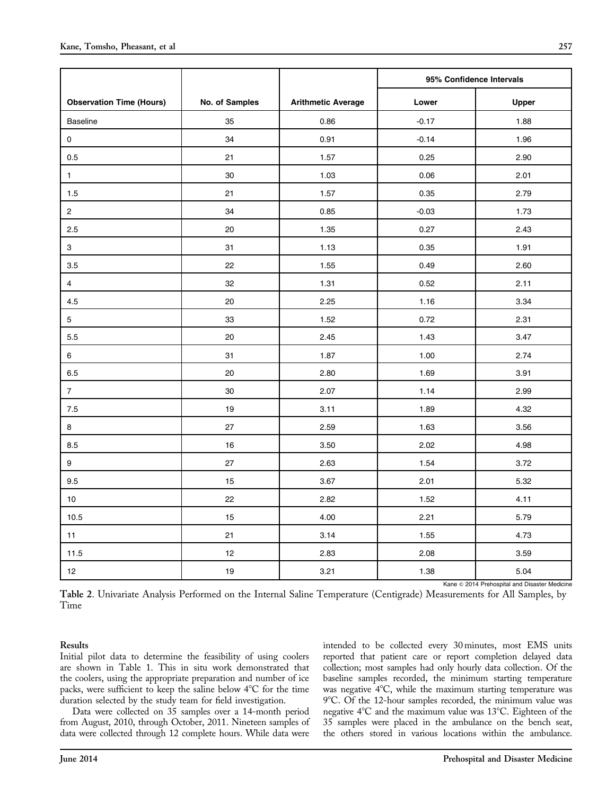<span id="page-5-0"></span>

|                                 |                |                           | 95% Confidence Intervals |       |
|---------------------------------|----------------|---------------------------|--------------------------|-------|
| <b>Observation Time (Hours)</b> | No. of Samples | <b>Arithmetic Average</b> | Lower                    | Upper |
| Baseline                        | 35             | 0.86                      | $-0.17$                  | 1.88  |
| $\pmb{0}$                       | 34             | 0.91                      | $-0.14$                  | 1.96  |
| $0.5\,$                         | 21             | 1.57                      | 0.25                     | 2.90  |
| $\mathbf{1}$                    | 30             | 1.03                      | 0.06                     | 2.01  |
| 1.5                             | 21             | 1.57                      | 0.35                     | 2.79  |
| $\overline{2}$                  | 34             | 0.85                      | $-0.03$                  | 1.73  |
| 2.5                             | $20\,$         | 1.35                      | 0.27                     | 2.43  |
| $\mathbf{3}$                    | 31             | 1.13                      | 0.35                     | 1.91  |
| 3.5                             | 22             | 1.55                      | 0.49                     | 2.60  |
| $\overline{4}$                  | 32             | 1.31                      | 0.52                     | 2.11  |
| 4.5                             | 20             | 2.25                      | 1.16                     | 3.34  |
| $5\phantom{.0}$                 | 33             | 1.52                      | 0.72                     | 2.31  |
| 5.5                             | 20             | 2.45                      | 1.43                     | 3.47  |
| 6                               | 31             | 1.87                      | 1.00                     | 2.74  |
| 6.5                             | 20             | 2.80                      | 1.69                     | 3.91  |
| $\overline{7}$                  | 30             | 2.07                      | 1.14                     | 2.99  |
| $7.5\,$                         | 19             | 3.11                      | 1.89                     | 4.32  |
| 8                               | 27             | 2.59                      | 1.63                     | 3.56  |
| 8.5                             | 16             | 3.50                      | 2.02                     | 4.98  |
| $\boldsymbol{9}$                | 27             | 2.63                      | 1.54                     | 3.72  |
| $9.5\,$                         | 15             | 3.67                      | 2.01                     | 5.32  |
| $10$                            | 22             | 2.82                      | 1.52                     | 4.11  |
| 10.5                            | 15             | 4.00                      | 2.21                     | 5.79  |
| 11                              | 21             | 3.14                      | 1.55                     | 4.73  |
| 11.5                            | 12             | 2.83                      | 2.08                     | 3.59  |
| 12                              | 19             | 3.21                      | 1.38                     | 5.04  |

Kane © 2014 Prehospital and Disaster Medicine

Table 2. Univariate Analysis Performed on the Internal Saline Temperature (Centigrade) Measurements for All Samples, by Time

Results

Initial pilot data to determine the feasibility of using coolers are shown in [Table 1](#page-4-0). This in situ work demonstrated that the coolers, using the appropriate preparation and number of ice packs, were sufficient to keep the saline below 4°C for the time duration selected by the study team for field investigation.

Data were collected on 35 samples over a 14-month period from August, 2010, through October, 2011. Nineteen samples of data were collected through 12 complete hours. While data were

intended to be collected every 30 minutes, most EMS units reported that patient care or report completion delayed data collection; most samples had only hourly data collection. Of the baseline samples recorded, the minimum starting temperature was negative 4°C, while the maximum starting temperature was 9°C. Of the 12-hour samples recorded, the minimum value was negative  $4^{\circ}$ C and the maximum value was 13 $^{\circ}$ C. Eighteen of the 35 samples were placed in the ambulance on the bench seat, the others stored in various locations within the ambulance.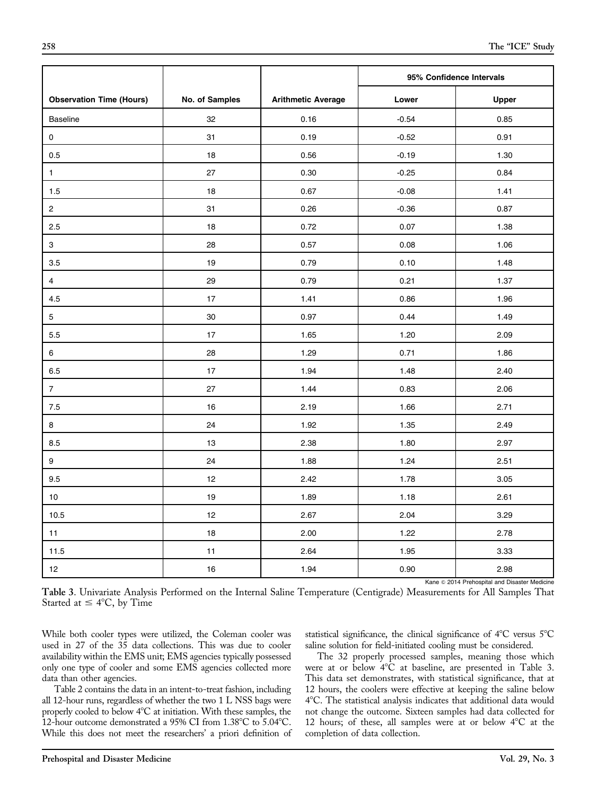|                                 |                |                           | 95% Confidence Intervals |              |
|---------------------------------|----------------|---------------------------|--------------------------|--------------|
| <b>Observation Time (Hours)</b> | No. of Samples | <b>Arithmetic Average</b> | Lower                    | <b>Upper</b> |
| Baseline                        | 32             | 0.16                      | $-0.54$                  | 0.85         |
| $\mathsf{O}\xspace$             | 31             | 0.19                      | $-0.52$                  | 0.91         |
| 0.5                             | 18             | 0.56                      | $-0.19$                  | 1.30         |
| $\mathbf{1}$                    | 27             | 0.30                      | $-0.25$                  | 0.84         |
| $1.5\,$                         | $18$           | 0.67                      | $-0.08$                  | 1.41         |
| $\mathbf{2}$                    | 31             | 0.26                      | $-0.36$                  | 0.87         |
| 2.5                             | 18             | 0.72                      | 0.07                     | 1.38         |
| $\mathbf 3$                     | 28             | 0.57                      | 0.08                     | 1.06         |
| $3.5\,$                         | 19             | 0.79                      | 0.10                     | 1.48         |
| $\overline{4}$                  | 29             | 0.79                      | 0.21                     | 1.37         |
| $4.5\,$                         | 17             | 1.41                      | 0.86                     | 1.96         |
| $\overline{5}$                  | 30             | 0.97                      | 0.44                     | 1.49         |
| 5.5                             | 17             | 1.65                      | 1.20                     | 2.09         |
| $\,6$                           | 28             | 1.29                      | 0.71                     | 1.86         |
| $6.5\,$                         | 17             | 1.94                      | 1.48                     | 2.40         |
| $\overline{7}$                  | 27             | 1.44                      | 0.83                     | 2.06         |
| $7.5\,$                         | 16             | 2.19                      | 1.66                     | 2.71         |
| 8                               | 24             | 1.92                      | 1.35                     | 2.49         |
| 8.5                             | 13             | 2.38                      | 1.80                     | 2.97         |
| $\boldsymbol{9}$                | 24             | 1.88                      | 1.24                     | 2.51         |
| 9.5                             | 12             | 2.42                      | 1.78                     | 3.05         |
| $10$                            | 19             | 1.89                      | 1.18                     | 2.61         |
| 10.5                            | 12             | 2.67                      | 2.04                     | 3.29         |
| 11                              | 18             | 2.00                      | 1.22                     | 2.78         |
| 11.5                            | 11             | 2.64                      | 1.95                     | 3.33         |
| 12                              | 16             | 1.94                      | 0.90                     | 2.98         |

Kane © 2014 Prehospital and Disaster Medicine

Table 3. Univariate Analysis Performed on the Internal Saline Temperature (Centigrade) Measurements for All Samples That Started at  $\leq 4^{\circ}C$ , by Time

While both cooler types were utilized, the Coleman cooler was used in 27 of the 35 data collections. This was due to cooler availability within the EMS unit; EMS agencies typically possessed only one type of cooler and some EMS agencies collected more data than other agencies.

[Table 2](#page-5-0) contains the data in an intent-to-treat fashion, including all 12-hour runs, regardless of whether the two 1 L NSS bags were properly cooled to below 4°C at initiation. With these samples, the 12-hour outcome demonstrated a 95% CI from  $1.38^{\circ}$ C to  $5.04^{\circ}$ C. While this does not meet the researchers' a priori definition of statistical significance, the clinical significance of  $4^{\circ}$ C versus  $5^{\circ}$ C saline solution for field-initiated cooling must be considered.

The 32 properly processed samples, meaning those which were at or below 4°C at baseline, are presented in Table 3. This data set demonstrates, with statistical significance, that at 12 hours, the coolers were effective at keeping the saline below 48C. The statistical analysis indicates that additional data would not change the outcome. Sixteen samples had data collected for 12 hours; of these, all samples were at or below  $4^{\circ}$ C at the completion of data collection.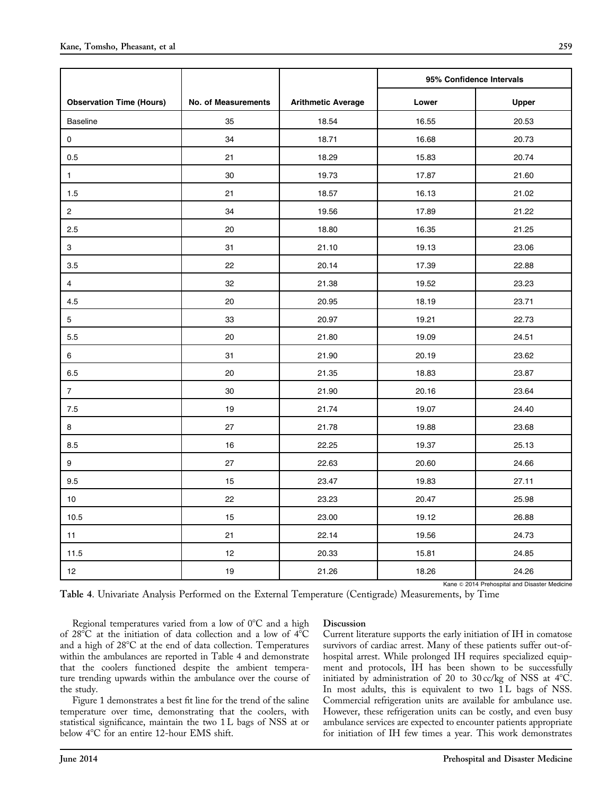|                                 |                            |                           | 95% Confidence Intervals |              |
|---------------------------------|----------------------------|---------------------------|--------------------------|--------------|
| <b>Observation Time (Hours)</b> | <b>No. of Measurements</b> | <b>Arithmetic Average</b> | Lower                    | <b>Upper</b> |
| <b>Baseline</b>                 | 35                         | 18.54                     | 16.55                    | 20.53        |
| $\mathbf 0$                     | 34                         | 18.71                     | 16.68                    | 20.73        |
| 0.5                             | 21                         | 18.29                     | 15.83                    | 20.74        |
| $\mathbf{1}$                    | 30                         | 19.73                     | 17.87                    | 21.60        |
| 1.5                             | 21                         | 18.57                     | 16.13                    | 21.02        |
| $\overline{c}$                  | 34                         | 19.56                     | 17.89                    | 21.22        |
| 2.5                             | 20                         | 18.80                     | 16.35                    | 21.25        |
| 3                               | 31                         | 21.10                     | 19.13                    | 23.06        |
| 3.5                             | 22                         | 20.14                     | 17.39                    | 22.88        |
| $\overline{4}$                  | 32                         | 21.38                     | 19.52                    | 23.23        |
| 4.5                             | 20                         | 20.95                     | 18.19                    | 23.71        |
| 5                               | 33                         | 20.97                     | 19.21                    | 22.73        |
| 5.5                             | 20                         | 21.80                     | 19.09                    | 24.51        |
| 6                               | 31                         | 21.90                     | 20.19                    | 23.62        |
| 6.5                             | 20                         | 21.35                     | 18.83                    | 23.87        |
| $\overline{7}$                  | 30                         | 21.90                     | 20.16                    | 23.64        |
| 7.5                             | 19                         | 21.74                     | 19.07                    | 24.40        |
| 8                               | 27                         | 21.78                     | 19.88                    | 23.68        |
| 8.5                             | 16                         | 22.25                     | 19.37                    | 25.13        |
| 9                               | 27                         | 22.63                     | 20.60                    | 24.66        |
| 9.5                             | 15                         | 23.47                     | 19.83                    | 27.11        |
| 10                              | 22                         | 23.23                     | 20.47                    | 25.98        |
| 10.5                            | 15                         | 23.00                     | 19.12                    | 26.88        |
| 11                              | 21                         | 22.14                     | 19.56                    | 24.73        |
| 11.5                            | 12                         | 20.33                     | 15.81                    | 24.85        |
| 12                              | 19                         | 21.26                     | 18.26                    | 24.26        |

Table 4. Univariate Analysis Performed on the External Temperature (Centigrade) Measurements, by Time

Regional temperatures varied from a low of  $0^{\circ}$ C and a high of 28°C at the initiation of data collection and a low of 4°C and a high of  $28^{\circ}$ C at the end of data collection. Temperatures within the ambulances are reported in Table 4 and demonstrate that the coolers functioned despite the ambient temperature trending upwards within the ambulance over the course of the study.

[Figure 1](#page-8-0) demonstrates a best fit line for the trend of the saline temperature over time, demonstrating that the coolers, with statistical significance, maintain the two 1 L bags of NSS at or below 4°C for an entire 12-hour EMS shift.

#### **Discussion**

Current literature supports the early initiation of IH in comatose survivors of cardiac arrest. Many of these patients suffer out-ofhospital arrest. While prolonged IH requires specialized equipment and protocols, IH has been shown to be successfully initiated by administration of 20 to 30 cc/kg of NSS at  $4^{\circ}$ C. In most adults, this is equivalent to two 1L bags of NSS. Commercial refrigeration units are available for ambulance use. However, these refrigeration units can be costly, and even busy ambulance services are expected to encounter patients appropriate for initiation of IH few times a year. This work demonstrates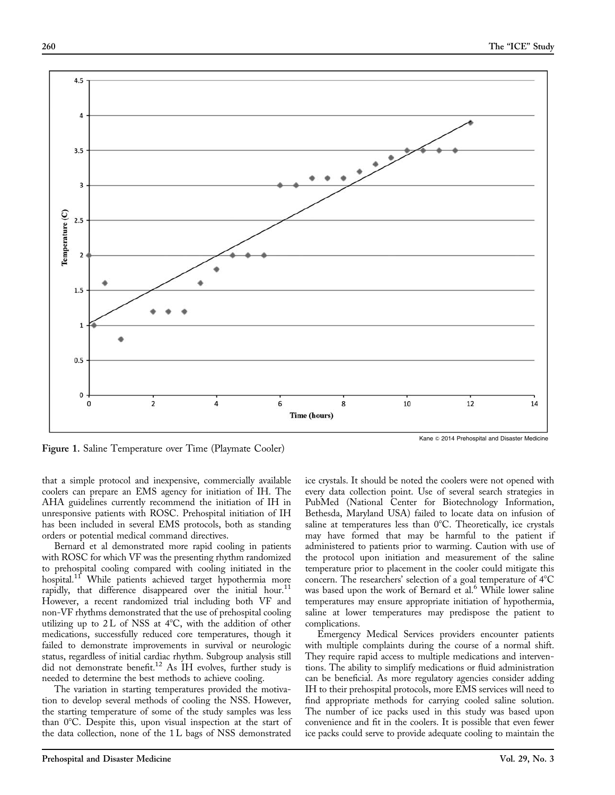<span id="page-8-0"></span>

Figure 1. Saline Temperature over Time (Playmate Cooler)

that a simple protocol and inexpensive, commercially available coolers can prepare an EMS agency for initiation of IH. The AHA guidelines currently recommend the initiation of IH in unresponsive patients with ROSC. Prehospital initiation of IH has been included in several EMS protocols, both as standing orders or potential medical command directives.

Bernard et al demonstrated more rapid cooling in patients with ROSC for which VF was the presenting rhythm randomized to prehospital cooling compared with cooling initiated in the hospital.<sup>[11](#page-9-0)</sup> While patients achieved target hypothermia more rapidly, that difference disappeared over the initial hour.<sup>[11](#page-9-0)</sup> However, a recent randomized trial including both VF and non-VF rhythms demonstrated that the use of prehospital cooling utilizing up to  $2L$  of NSS at  $4^{\circ}C$ , with the addition of other medications, successfully reduced core temperatures, though it failed to demonstrate improvements in survival or neurologic status, regardless of initial cardiac rhythm. Subgroup analysis still did not demonstrate benefit[.12](#page-9-0) As IH evolves, further study is needed to determine the best methods to achieve cooling.

The variation in starting temperatures provided the motivation to develop several methods of cooling the NSS. However, the starting temperature of some of the study samples was less than  $0^{\circ}$ C. Despite this, upon visual inspection at the start of the data collection, none of the 1 L bags of NSS demonstrated

ice crystals. It should be noted the coolers were not opened with every data collection point. Use of several search strategies in PubMed (National Center for Biotechnology Information, Bethesda, Maryland USA) failed to locate data on infusion of saline at temperatures less than  $0^{\circ}$ C. Theoretically, ice crystals may have formed that may be harmful to the patient if administered to patients prior to warming. Caution with use of the protocol upon initiation and measurement of the saline temperature prior to placement in the cooler could mitigate this concern. The researchers' selection of a goal temperature of  $4^{\circ}C$ was based upon the work of Bernard et al.<sup>[6](#page-9-0)</sup> While lower saline temperatures may ensure appropriate initiation of hypothermia, saline at lower temperatures may predispose the patient to complications.

Emergency Medical Services providers encounter patients with multiple complaints during the course of a normal shift. They require rapid access to multiple medications and interventions. The ability to simplify medications or fluid administration can be beneficial. As more regulatory agencies consider adding IH to their prehospital protocols, more EMS services will need to find appropriate methods for carrying cooled saline solution. The number of ice packs used in this study was based upon convenience and fit in the coolers. It is possible that even fewer ice packs could serve to provide adequate cooling to maintain the